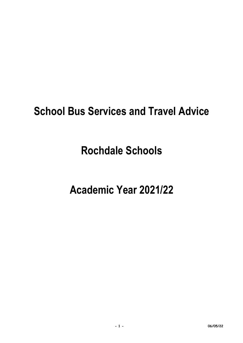## **School Bus Services and Travel Advice**

# **Rochdale Schools**

# **Academic Year 2021/22**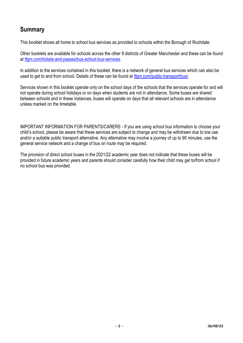## **Summary**

This booklet shows all home to school bus services as provided to schools within the Borough of Rochdale.

Other booklets are available for schools across the other 9 districts of Greater Manchester and these can be found at [tfgm.com/tickets-and-passes/bus-school-bus-services.](https://tfgm.com/tickets-and-passes/bus-school-bus-services)

In addition to the services contained in this booklet, there is a network of general bus services which can also be used to get to and from school. Details of these can be found at tram.com/public-transport/bus/.

Services shown in this booklet operate only on the school days of the schools that the services operate for and will not operate during school holidays or on days when students are not in attendance. Some buses are shared between schools and in these instances, buses will operate on days that all relevant schools are in attendance unless marked on the timetable.

IMPORTANT INFORMATION FOR PARENTS/CARERS - If you are using school bus information to choose your child's school, please be aware that these services are subject to change and may be withdrawn due to low use and/or a suitable public transport alternative. Any alternative may involve a journey of up to 90 minutes, use the general service network and a change of bus on route may be required.

The provision of direct school buses in the 2021/22 academic year does not indicate that these buses will be provided in future academic years and parents should consider carefully how their child may get to/from school if no school bus was provided.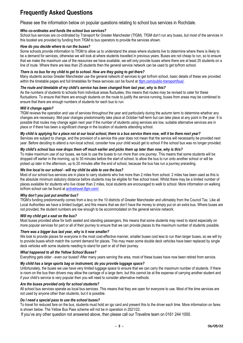## **Frequently Asked Questions**

Please see the information below on popular questions relating to school bus services in Rochdale.

#### *Who co-ordinates and funds the school bus services?*

School bus services are co-ordinated by Transport for Greater Manchester (TfGM). TfGM don't run any buses, but most of the services in this booklet are provided by funding from TfGM to bus operators to provide the services shown.

#### *How do you decide where to run the buses?*

Some schools provide information to TfGM to allow us to understand the areas where students live to determine where there is likely to be a demand for services, otherwise we will look at where students travelled in previous years. Buses are not cheap to run, so to ensure that we make the maximum use of the resources we have available, we will only provide buses where there are at least 25 students on a line of route. Where there are less than 25 students then the general service network can be used to get to/from school.

#### *There is no bus for my child to get to school. How are they going to get there?*

Many students across Greater Manchester use the general network of services to get to/from school, basic details of these are provided within the timetable pages and full timetables for these services can be found at [tfgm.com/public-transport/bus/.](https://tfgm.com/public-transport/bus/)

#### *The route and timetable of my child's service has been changed from last year, why is this?*

As the numbers of students to schools from individual areas fluctuates, this means that routes may be revised to cater for these fluctuations. To ensure that there are enough students on the route to justify the service running, buses from areas may be combined to ensure that there are enough numbers of students for each bus to run.

#### *Will it change again?*

TfGM reviews the operation and use of services throughout the year and particularly during the autumn term to determine whether any changes are necessary. Mid-year changes predominantly take place at October half-term but can take place at any point in the year. It is possible that routes may change again next year if the number of students using services are low, suitable alternative services are in place or if there has been a significant change in the location of students attending school.

#### *My child is applying for a place not at our local school, there is a bus service there now, will it be there next year?*

Services are subject to change, and the provision of a service this year does not mean that the service will necessarily be provided next year. Before deciding to attend a non-local school, consider how your child would get to school if the school bus was no longer provided.

#### *My child's school bus now drops them off much earlier and picks them up later than now, why is this?*

To make maximum use of our buses, we look to use the buses to run more than one journey. This means that some students will be dropped off earlier in the morning, up to 30 minutes before the start of school, to allow the bus to run onto another school or will be picked up later in the afternoon, up to 20 minutes after the end of school, because the bus has run a journey preceding.

#### *We live local to our school - will my child be able to use the bus?*

Most of our school bus services are in place to carry students who live more than 2 miles from school. 2 miles has been used as this is the absolute minimum statutory distance before students may be eligible for free school travel. Whilst there may be a limited number of places available for students who live closer than 2 miles, local students are encouraged to walk to school. More information on walking to/from school can be found at [activetravel.tfgm.com/.](https://activetravel.tfgm.com/)

#### *Why don't you just put another bus?*

TfGM's funding predominantly comes from a levy on the 10 districts of Greater Manchester and ultimately from the Council Tax. Like all Local Authorities we have a limited budget, and this means that we don't have the money to simply put on an extra bus. Where buses are not provided, the student numbers are low enough to be accommodated on the general service network.

#### *Will my child get a seat on the bus?*

Most buses provided allow for both seated and standing passengers, this means that some students may need to stand especially on more popular services for part or all of their journey to ensure that we can provide places to the maximum number of students possible.

#### *There was a bigger bus last year, why is it now smaller?*

We look to provide places for everyone in the most cost-effective manner, smaller buses cost less to run than larger buses, so we will try to provide buses which match the current demand for places. This may mean some double deck vehicles have been replaced by single deck vehicles with some students needing to stand for part or all of their journey.

#### *What happened to all the Yellow School Buses?*

Everything gets older - even our buses!! After many years serving the area, most of these buses have now been retired from service.

#### *My child has a large sports bag or instrument, do you provide luggage space?*

Unfortunately, the buses we use have very limited luggage space to ensure that we can carry the maximum number of students. If there is room on the bus then drivers may allow the carriage of a large item, but this cannot be at the expense of carrying another student and if your child's service is very popular then you will need to consider alternative methods.

#### *Are the buses provided only for school students?*

All school bus services operate as local bus services. This means that they are open for everyone to use. Most of the time services are not used by anyone other than students, but it is possible.

#### *Do I need a special pass to use the school buses?*

To travel for reduced fare on the bus, students must hold an igo card and present this to the driver each time. More information on fares is shown below. The Yellow Bus Pass scheme will not be in operation in 2021/22.

If you've any other question not answered above, then please call our Traveline team on 0161 244 1000.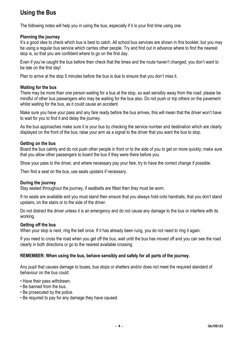## **Using the Bus**

The following notes will help you in using the bus, especially if it is your first time using one.

### **Planning the journey**

It's a good idea to check which bus is best to catch. All school bus services are shown in this booklet, but you may be using a regular bus service which carries other people. Try and find out in advance where to find the nearest stop is, so that you are confident where to go on the first day.

Even if you've caught the bus before then check that the times and the route haven't changed, you don't want to be late on the first day!

Plan to arrive at the stop 5 minutes before the bus is due to ensure that you don't miss it.

#### **Waiting for the bus**

There may be more than one person waiting for a bus at the stop, so wait sensibly away from the road; please be mindful of other bus passengers who may be waiting for the bus also. Do not push or trip others on the pavement whilst waiting for the bus, as it could cause an accident.

Make sure you have your pass and any fare ready before the bus arrives, this will mean that the driver won't have to wait for you to find it and delay the journey.

As the bus approaches make sure it is your bus by checking the service number and destination which are clearly displayed on the front of the bus; raise your arm as a signal to the driver that you want the bus to stop.

#### **Getting on the bus**

Board the bus calmly and do not push other people in front or to the side of you to get on more quickly; make sure that you allow other passengers to board the bus if they were there before you.

Show your pass to the driver, and where necessary pay your fare, try to have the correct change if possible.

Then find a seat on the bus, use seats upstairs if necessary.

#### **During the journey**

Stay seated throughout the journey, if seatbelts are fitted then they must be worn.

If no seats are available and you must stand then ensure that you always hold onto handrails, that you don't stand upstairs, on the stairs or to the side of the driver.

Do not distract the driver unless it is an emergency and do not cause any damage to the bus or interfere with its working.

#### **Getting off the bus**

When your stop is next, ring the bell once. If it has already been rung, you do not need to ring it again.

If you need to cross the road when you get off the bus, wait until the bus has moved off and you can see the road clearly in both directions or go to the nearest available crossing.

#### **REMEMBER: When using the bus, behave sensibly and safely for all parts of the journey.**

Any pupil that causes damage to buses, bus stops or shelters and/or does not meet the required standard of behaviour on the bus could:

- Have their pass withdrawn.
- Be banned from the bus.
- Be prosecuted by the police.
- Be required to pay for any damage they have caused.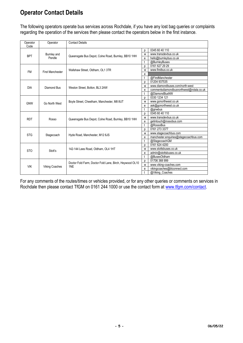## **Operator Contact Details**

The following operators operate bus services across Rochdale, if you have any lost bag queries or complaints regarding the operation of the services then please contact the operators below in the first instance.

| Operator<br>Code | Operator                | <b>Contact Details</b>                                         |                |                                          |
|------------------|-------------------------|----------------------------------------------------------------|----------------|------------------------------------------|
|                  |                         |                                                                | р              | 0345 60 40 110                           |
| <b>BPT</b>       | Burnley and             |                                                                | W              | www.transdevbus.co.uk                    |
|                  | Pendle                  | Queensgate Bus Depot, Colne Road, Burnley, BB10 1HH            | e              | hello@burnleybus.co.uk                   |
|                  |                         |                                                                | $\mathfrak{t}$ | @BurnleyBuses                            |
|                  |                         |                                                                | p              | 0161 627 29 29                           |
| <b>FM</b>        | <b>First Manchester</b> | Wallshaw Street, Oldham, OL1 3TR                               | W              | www.firstbus.co.uk                       |
|                  |                         |                                                                | e              |                                          |
|                  |                         |                                                                | t              | @FirstManchester                         |
|                  |                         |                                                                | p              | 01204 937535                             |
|                  |                         |                                                                | W              | www.diamondbuses.com/north-west          |
| <b>DIA</b>       | Diamond Bus             | Weston Street, Bolton, BL3 2AW                                 | e              | commentsdiamondbusnorthwest@rotala.co.uk |
|                  |                         |                                                                |                | @DiamondBusNW                            |
|                  |                         |                                                                | D              | 0330 1234 121                            |
|                  |                         | Boyle Street, Cheetham, Manchester, M8 8UT                     | W              | www.gonorthwest.co.uk                    |
| <b>GNW</b>       | Go North West           |                                                                |                | ask@gonorthwest.co.uk                    |
|                  |                         |                                                                |                | @gnwbus                                  |
|                  |                         |                                                                | p              | 0345 60 40 110                           |
| <b>RDT</b>       |                         |                                                                | W              | www.transdevbus.co.uk                    |
|                  | Rosso                   | Queensgate Bus Depot, Colne Road, Burnley, BB10 1HH            |                | getintouch@rossobus.com                  |
|                  |                         |                                                                | $\mathfrak{t}$ | @RossoBus                                |
|                  |                         |                                                                | D              | 0161 273 3377                            |
|                  |                         |                                                                | W              | www.stagecoachbus.com                    |
| <b>STG</b>       | Stagecoach              | Hyde Road, Manchester, M12 6JS                                 | e              | manchester.enquiries@stagecoachbus.com   |
|                  |                         |                                                                |                | @StagecoachGM                            |
|                  |                         |                                                                | D              | 0161 624 4200                            |
|                  |                         | 142-144 Lees Road, Oldham, OL4 1HT                             | W              | www.stottsbuses.co.uk                    |
| <b>STO</b>       | Stott's                 |                                                                | e              | admin@stottsbuses.co.uk                  |
|                  |                         |                                                                | t              | @BusesOldham                             |
|                  |                         |                                                                | р              | 01706 368 999                            |
|                  |                         | Doctor Fold Farm, Doctor Fold Lane, Birch, Heywood OL10<br>1NE |                | www.viking-coaches.com                   |
| <b>VIK</b>       | <b>Viking Coaches</b>   |                                                                |                | vikingcoaches@btconnect.com              |
|                  |                         |                                                                | $\mathbf{t}$   | @Viking Coaches                          |

For any comments of the routes/times or vehicles provided, or for any other queries or comments on services in Rochdale then please contact TfGM on 0161 244 1000 or use the contact form at [www.tfgm.com/contact.](http://www.tfgm.com/contact)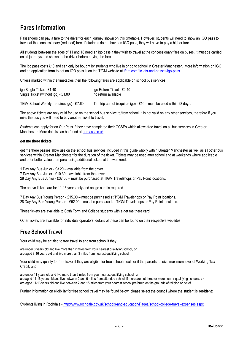## **Fares Information**

Passengers can pay a fare to the driver for each journey shown on this timetable. However, students will need to show an IGO pass to travel at the concessionary (reduced) fare. If students do not have an IGO pass, they will have to pay a higher fare.

All students between the ages of 11 and 16 need an igo pass if they wish to travel at the concessionary fare on buses. It must be carried on all journeys and shown to the driver before paying the fare.

The igo pass costs £10 and can only be bought by students who live in or go to school in Greater Manchester. More information on IGO and an application form to get an IGO pass is on the TfGM website a[t tfgm.com/tickets-and-passes/igo-pass.](https://tfgm.com/tickets-and-passes/igo-pass)

Unless marked within the timetables then the following fares are applicable on school bus services:

| igo Single Ticket - £1.40                 | igo Return Ticket - £2.40                                           |
|-------------------------------------------|---------------------------------------------------------------------|
| Single Ticket (without igo) - £1.80       | no return available                                                 |
| TfGM School Weekly (requires igo) - £7.60 | Ten trip carnet (requires igo) - £10 – must be used within 28 days. |

The above tickets are only valid for use on the school bus service to/from school. It is not valid on any other services, therefore if you miss the bus you will need to buy another ticket to travel.

Students can apply for an Our Pass if they have completed their GCSEs which allows free travel on all bus services in Greater Manchester. More details can be found at [ourpass.co.uk.](http://ourpass.co.uk/)

#### **get me there tickets**

get me there passes allow use on the school bus services included in this guide wholly within Greater Manchester as well as all other bus services within Greater Manchester for the duration of the ticket. Tickets may be used after school and at weekends where applicable and offer better value than purchasing additional tickets at the weekend.

1 Day Any Bus Junior - £3.20 – available from the driver 7 Day Any Bus Junior - £10.30 – available from the driver 28 Day Any Bus Junior - £37.00 – must be purchased at TfGM Travelshops or Pay Point locations.

The above tickets are for 11-16 years only and an igo card is required.

7 Day Any Bus Young Person - £15.00 – must be purchased at TfGM Travelshops or Pay Point locations. 28 Day Any Bus Young Person - £52.00 – must be purchased at TfGM Travelshops or Pay Point locations.

These tickets are available to Sixth Form and College students with a get me there card.

Other tickets are available for individual operators, details of these can be found on their respective websites.

### **Free School Travel**

Your child may be entitled to free travel to and from school if they:

are under 8 years old and live more than 2 miles from your nearest qualifying school, **or** are aged 8-16 years old and live more than 3 miles from nearest qualifying school.

Your child may qualify for free travel if they are eligible for free school meals or if the parents receive maximum level of Working Tax Credit, and:

are under 11 years old and live more than 2 miles from your nearest qualifying school, **or** are aged 11-16 years old and live between 2 and 6 miles from attended school, if there are not three or more nearer qualifying schools, **or** are aged 11-16 years old and live between 2 and 15 miles from your nearest school preferred on the grounds of religion or belief.

Further information on eligibility for free school travel may be found below, please select the council where the student is **resident**:

Students living in Rochdale - <http://www.rochdale.gov.uk/schools-and-education/Pages/school-college-travel-expenses.aspx>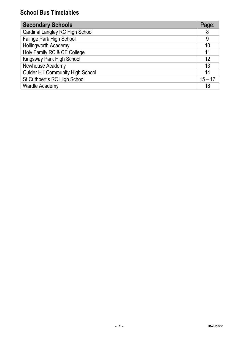| <b>Secondary Schools</b>                 | Page:     |
|------------------------------------------|-----------|
| Cardinal Langley RC High School          | 8         |
| Falinge Park High School                 | 9         |
| <b>Hollingworth Academy</b>              | 10        |
| Holy Family RC & CE College              | 11        |
| Kingsway Park High School                | 12        |
| Newhouse Academy                         | 13        |
| <b>Oulder Hill Community High School</b> | 14        |
| St Cuthbert's RC High School             | $15 - 17$ |
| <b>Wardle Academy</b>                    | 18        |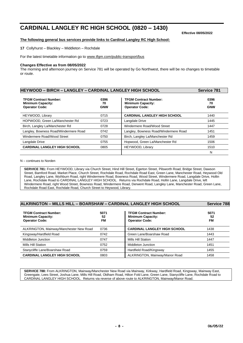## **CARDINAL LANGLEY RC HIGH SCHOOL (0820 – 1430)**

**Effective 08/05/2022**

#### **The following general bus services provide links to Cardinal Langley RC High School:**

**17** Collyhurst – Blackley – Middleton – Rochdale

For the latest timetable information go to [www.tfgm.com/public-transport/bus](http://www.tfgm.com/public-transport/bus)

#### **Changes Effective as from 08/05/2022**

The morning and afternoon journey on Service 781 will be operated by Go Northwest, there will be no changes to timetable or route.

| <b>HEYWOOD - BIRCH - LANGLEY - CARDINAL LANGLEY HIGH SCHOOL</b>                   |                          |                                                                                   | Service 781              |
|-----------------------------------------------------------------------------------|--------------------------|-----------------------------------------------------------------------------------|--------------------------|
| <b>TFGM Contract Number:</b><br><b>Minimum Capacity:</b><br><b>Operator Code:</b> | 0396<br>70<br><b>GNW</b> | <b>TFGM Contract Number:</b><br><b>Minimum Capacity:</b><br><b>Operator Code:</b> | 0396<br>70<br><b>GNW</b> |
| HEYWOOD, Library                                                                  | 0715                     | <b>CARDINAL LANGLEY HIGH SCHOOL</b>                                               | 1440                     |
| HOPWOOD, Green La/Manchester Rd                                                   | 0723                     | Langdale Drive                                                                    | 1445                     |
| Birch, Langley La/Manchester Rd                                                   | 0728                     | Windermere Road/Wood Street                                                       | 1447                     |
| Langley, Bowness Road/Windermere Road                                             | 0742                     | Langley, Bowness Road/Windermere Road                                             | 1451                     |
| Windermere Road/Wood Street                                                       | 0750                     | Birch, Langley La/Manchester Rd                                                   | 1459                     |
| Langdale Drive                                                                    | 0755                     | Hopwood, Green La/Manchester Rd                                                   | 1506                     |
| <b>CARDINAL LANGLEY HIGH SCHOOL</b>                                               | 0805                     | HEYWOOD, Library                                                                  | 1510                     |
|                                                                                   |                          |                                                                                   | N                        |

N – continues to Norden

**SERVICE 781:** From HEYWOOD, Library via Church Street, Hind Hill Street, Egerton Street, Pilsworth Road, Bridge Street, Dawson Street, Bamford Road, Market Place, Church Street, Rochdale Road, Rochdale Road East, Green Lane, Manchester Road, Heywood Old Road, Langley Lane, Wythburn Road, right Windermere Road, Bowness Road, Wood Street, Windermere Road, Langdale Drive, Hollin Lane, Rochdale Road to CARDINAL LANGLEY HIGH SCHOOL. Returns via Rochdale Road, Hollin Lane, Langdale Drive, left Windermere Road, right Wood Street, Bowness Road, Windermere Road, Derwent Road, Langley Lane, Manchester Road, Green Lane, Rochdale Road East, Rochdale Road, Church Street to Heywood, Library.

| ALKRINGTON - MILLS HILL - BOARSHAW - CARDINAL LANGLEY HIGH SCHOOL                 | Service 788      |                                                                                   |                         |
|-----------------------------------------------------------------------------------|------------------|-----------------------------------------------------------------------------------|-------------------------|
| <b>TFGM Contract Number:</b><br><b>Minimum Capacity:</b><br><b>Operator Code:</b> | 5071<br>52<br>FM | <b>TFGM Contract Number:</b><br><b>Minimum Capacity:</b><br><b>Operator Code:</b> | 5071<br>52<br><b>FM</b> |
| ALKRINGTON, Mainway/Manchester New Road                                           | 0736             | <b>CARDINAL LANGLEY HIGH SCHOOL</b>                                               | 1438                    |
| Kingsway/Hardfield Road                                                           | 0742             | Green Lane/Boarshaw Road                                                          | 1443                    |
| Middleton Junction                                                                | 0747             | Mills Hill Station                                                                | 1447                    |
| Mills Hill Station                                                                | 0752             | Middleton Junction                                                                | 1451                    |
| Stanycliffe Lane/Boarshaw Road                                                    | 0759             | Hardfield Road/Kingsway                                                           | 1455                    |
| <b>CARDINAL LANGLEY HIGH SCHOOL</b>                                               | 0803             | ALKRINGTON, Mainway/Manor Road                                                    | 1458                    |

**SERVICE 788:** From ALKRINGTON, Mainway/Manchester New Road via Mainway, Kirkway, Hardfield Road, Kingsway, Mainway East, Greengate, Lees Street, Joshua Lane, Mills Hill Road, Oldham Road, Hilton Fold Lane, Green Lane, Stanycliffe Lane, Rochdale Road to CARDINAL LANGLEY HIGH SCHOOL. Returns via reverse of above route to ALKRINGTON, Mainway/Manor Road.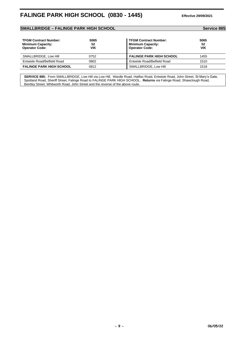### **SMALLBRIDGE – FALINGE PARK HIGH SCHOOL Service 885**

| Service 88 |  |  |  |  |
|------------|--|--|--|--|
|------------|--|--|--|--|

| <b>TFGM Contract Number:</b><br><b>Minimum Capacity:</b><br><b>Operator Code:</b> | 5065<br>52<br><b>VIK</b> | <b>TFGM Contract Number:</b><br><b>Minimum Capacity:</b><br><b>Operator Code:</b> | 5065<br>52<br>VIK |
|-----------------------------------------------------------------------------------|--------------------------|-----------------------------------------------------------------------------------|-------------------|
| SMALLBRIDGE, Low Hill                                                             | 0752                     | <b>FALINGE PARK HIGH SCHOOL</b>                                                   | 1455              |
| Entwisle Road/Belfield Road                                                       | 0802                     | Entwisle Road/Belfield Road                                                       | 1510              |
| <b>FALINGE PARK HIGH SCHOOL</b>                                                   | 0812                     | SMALLBRIDGE, Low Hill                                                             | 1518              |

**SERVICE 885:** From SMALLBRIDGE, Low Hill via Low Hill, Wardle Road, Halifax Road, Entwisle Road, John Street, St Mary's Gate, Spotland Road, Sheriff Street, Falinge Road to FALINGE PARK HIGH SCHOOL. **Returns** via Falinge Road, Shawclough Road, Bentley Street, Whitworth Road, John Street and the reverse of the above route.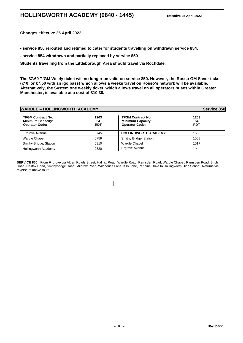## **HOLLINGWORTH ACADEMY (0840 - 1445) Effective 25 April 2022**

**Changes effective 25 April 2022**

**- service 850 rerouted and retimed to cater for students travelling on withdrawn service 854.**

**- service 854 withdrawn and partially replaced by service 850**

**Students travelling from the Littleborough Area should travel via Rochdale.**

**The £7.60 TfGM Weely ticket will no longer be valid on service 850. However, the Rosso GM Saver ticket (£10, or £7.50 with an igo pass) which allows a weeks travel on Rosso's network will be available. Alternatively, the System one weekly ticket, which allows travel on all operators buses within Greater Manchester, is available at a cost of £10.30.**

| <b>WARDLE - HOLLINGWORTH ACADEMY</b>                                          |                          |                                                                               | Service 850              |
|-------------------------------------------------------------------------------|--------------------------|-------------------------------------------------------------------------------|--------------------------|
| <b>TFGM Contract No.</b><br><b>Minimum Capacity:</b><br><b>Operator Code:</b> | 1263<br>54<br><b>RDT</b> | <b>TFGM Contract No:</b><br><b>Minimum Capacity:</b><br><b>Operator Code:</b> | 1263<br>54<br><b>RDT</b> |
| Firgrove Avenue                                                               | 0745                     | <b>HOLLINGWORTH ACADEMY</b>                                                   | 1500                     |
| <b>Wardle Chapel</b>                                                          | 0759                     | Smithy Bridge, Station                                                        | 1508                     |
| Smithy Bridge, Station                                                        | 0810                     | <b>Wardle Chapel</b>                                                          | 1517                     |
| Hollingworth Academy                                                          | 0820                     | <b>Firgrove Avenue</b>                                                        | 1530                     |

**SERVICE 850:** From Firgrove via Albert Royds Street, Halifax Road, Wardle Road, Ramsden Road, Wardle Chapel, Ramsden Road, Birch Road, Halifax Road, Smithybridge Road, Milnrow Road, Wildhouse Lane, Kiln Lane, Pennine Drive to Hollingworth High School. Returns via reverse of above route.

 $\overline{\phantom{a}}$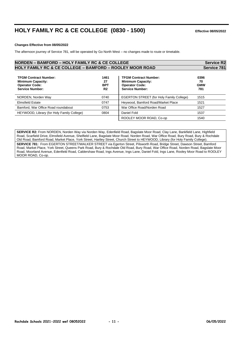## **HOLY FAMILY RC & CE COLLEGE (0830 - 1500) Effective 08/05/2022**

#### **Changes Effective from 08/05/2022**

The afternoon journey of Service 781, will be operated by Go North West – no changes made to route or timetable.

| <b>NORDEN - BAMFORD - HOLY FAMILY RC &amp; CE COLLEGE</b>                                                   | <b>Service R2</b>                          |                                                                                                             |                                 |
|-------------------------------------------------------------------------------------------------------------|--------------------------------------------|-------------------------------------------------------------------------------------------------------------|---------------------------------|
| <b>HOLY FAMILY RC &amp; CE COLLEGE - BAMFORD - ROOLEY MOOR ROAD</b>                                         |                                            |                                                                                                             | Service 781                     |
| <b>TFGM Contract Number:</b><br><b>Minimum Capacity:</b><br><b>Operator Code:</b><br><b>Service Number:</b> | 1461<br>27<br><b>BPT</b><br>R <sub>2</sub> | <b>TFGM Contract Number:</b><br><b>Minimum Capacity:</b><br><b>Operator Code:</b><br><b>Service Number:</b> | 0396<br>70<br><b>GMW</b><br>781 |
| NORDEN, Norden Way                                                                                          | 0740                                       | <b>EGERTON STREET (for Holy Family College)</b>                                                             | 1515                            |
| <b>Elmsfield Estate</b>                                                                                     | 0747                                       | Heywood, Bamford Road/Market Place                                                                          | 1521                            |
| Bamford, War Office Road roundabout                                                                         | 0753                                       | War Office Road/Norden Road                                                                                 | 1527                            |
| HEYWOOD, Library (for Holy Family College)                                                                  | 0804                                       | Daniel Fold                                                                                                 | 1537                            |
|                                                                                                             |                                            | ROOLEY MOOR ROAD, Co-op                                                                                     | 1540                            |

**SERVICE R2:** From NORDEN, Norden Way via Norden Way, Edenfield Road, Bagslate Moor Road, Clay Lane, Bankfield Lane, Highfield Road, Scarfield Drive, Elmsfield Avenue, Shelfield Lane, Bagslate Moor Road, Norden Road, War Office Road, Bury Road, Bury & Rochdale Old Road, Bamford Road, Market Place, York Street, Hartley Street, Church Street to HEYWOOD, Library (for Holy Family College). **SERVICE 781:** From EGERTON STREET/WALKER STREET via Egerton Street, Pilsworth Road, Bridge Street, Dawson Street, Bamford Road, Market Place, York Street, Queens Park Road, Bury & Rochdale Old Road, Bury Road, War Office Road, Norden Road, Bagslate Moor Road, Moorland Avenue, Edenfield Road, Caldershaw Road, Ings Avenue, Ings Lane, Daniel Fold, Ings Lane, Rooley Moor Road to ROOLEY MOOR ROAD, Co-op.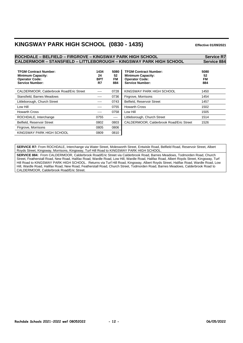## **KINGSWAY PARK HIGH SCHOOL (0830 - 1435) Effective 01/09/2021**

#### **ROCHDALE – BELFIELD – FIRGROVE – KINGSWAY PARK HIGH SCHOOL Service R7 CALDERMOOR – STANSFIELD – LITTLEBOROUGH – KINGSWAY PARK HIGH SCHOOL Service 884 TFGM Contract Number: Minimum Capacity: 1434 24 5080 52 TFGM Contract Number: Minimum Capacity: 5080 52 Operator Code: Service Number: BPT R7 FM 884 Operator Code: Service Number: FM 884** CALDERMOOR, Calderbrook Road/Eric Street ---- 0728 KINGSWAY PARK HIGH SCHOOL 1450 Stansfield, Barnes Meadows **1454** ---- 0736 | Firgrove, Morrisons **1454** 1454 Littleborough, Church Street 1457 **---** 0743 Belfield, Reservoir Street 1457 Low Hill **1502 Low Hill** 1502 Howarth Cross 2008 **1505** ---- 0758 Low Hill 2009 ---- 1505 ROCHDALE, Interchange 1514 0755 ---- Littleborough, Church Street 1514 Belfield, Reservoir Street 1526 0802 0803 CALDERMOOR, Calderbrook Road/Eric Street 1526 Firgrove, Morrisons **0805** 0806 KINGSWAY PARK HIGH SCHOOL 0809 0810

**SERVICE R7:** From ROCHDALE, Interchange via Water Street, Molesworth Street, Entwisle Road, Belfield Road, Reservoir Street, Albert Royds Street, Kingsway, Morrisons, Kingsway, Turf Hill Road to KINGSWAY PARK HIGH SCHOOL.

**SERVICE 884:** From CALDERMOOR, Calderbrook Road/Eric Street via Calderbrook Road, Barnes Meadows, Todmorden Road, Church Street, Featherstall Road, New Road, Halifax Road, Wardle Road, Low Hill, Wardle Road, Halifax Road, Albert Royds Street, Kingsway, Turf Hill Road to KINGSWAY PARK HIGH SCHOOL. Returns via Turf Hill Road, Kingsway, Albert Royds Street, Halifax Road, Wardle Road, Low Hill, Wardle Road, Halifax Road, New Road, Featherstall Road, Church Street, Todmorden Road, Barnes Meadows, Calderbrook Road to CALDERMOOR, Calderbrook Road/Eric Street.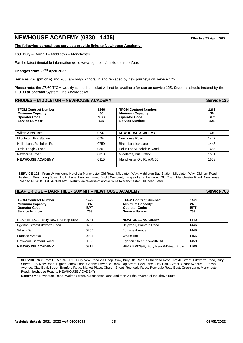## **NEWHOUSE ACADEMY (0830 - 1435) Effective 25 April 2022**

**The following general bus services provide links to Newhouse Academy:**

**163** Bury – Darnhill – Middleton – Manchester

For the latest timetable information go to [www.tfgm.com/public-transport/bus](http://www.tfgm.com/public-transport/bus)

#### **Changes from 25TH April 2022**

Services 764 (pm only) and 765 (am only) withdrawn and replaced by new journeys on service 125.

Please note: the £7.60 TfGM weekly school bus ticket will not be available for use on service 125. Students should instead by the £10.30 all operator System One weekly ticket.

| <b>RHODES - MIDDLETON - NEWHOUSE ACADEMY</b>                                                                |                                 |                                                                                                             | <b>Service 125</b>              |
|-------------------------------------------------------------------------------------------------------------|---------------------------------|-------------------------------------------------------------------------------------------------------------|---------------------------------|
| <b>TFGM Contract Number:</b><br><b>Minimum Capacity:</b><br><b>Operator Code:</b><br><b>Service Number:</b> | 1266<br>36<br><b>STO</b><br>125 | <b>TFGM Contract Number:</b><br><b>Minimum Capacity:</b><br><b>Operator Code:</b><br><b>Service Number:</b> | 1266<br>36<br><b>STO</b><br>125 |
| <b>Wilton Arms Hotel</b>                                                                                    | 0747                            | <b>NEWHOUSE ACADEMY</b>                                                                                     | 1440                            |
| Middleton, Bus Station                                                                                      | 0754                            | Newhouse Road                                                                                               | 1442                            |
| Hollin Lane/Rochdale Rd                                                                                     | 0759                            | Birch, Langley Lane                                                                                         | 1448                            |
| Birch, Langley Lane                                                                                         | 0801                            | Hollin Lane/Rochdale Road                                                                                   | 1455                            |
| Newhouse Road                                                                                               | 0813                            | Middleton, Bus Station                                                                                      | 1501                            |
| <b>NEWHOUSE ACADEMY</b>                                                                                     | 0815                            | Manchester Old Road/M60                                                                                     | 1508                            |
|                                                                                                             |                                 |                                                                                                             |                                 |

**SERVICE 125:** From Wilton Arms Hotel via Manchester Old Road, Middleton Way, Middleton Bus Station, Middleton Way, Oldham Road, Assheton Way, Long Street, Hollin Lane, Langley Lane, Knight Crescent, Langley Lane, Heywood Old Road, Manchester Road, Newhouse Road to NEWHOUSE ACADEMY. Return via reverse of above route to Manchester Old Road, M60.

#### **HEAP BRIDGE – DARN HILL - SUMMIT – NEWHOUSE ACADEMY Service 768 TFGM Contract Number: Minimum Capacity: 1479 24 TFGM Contract Number: Minimum Capacity: 1479 24 Operator Code: Service Number: BPT 768 Operator Code: Service Number: BPT 768** HEAP BRIDGE, Bury New Rd/Heap Brow 0744 **NEWHOUSE ACADEMY** 1440 Egerton Street/Pilsworth Road 0753 Heywood, Bamford Road 1446 Wham Bar 0756 Furness Avenue 1449 Furness Avenue 1455 and the contract of the contract of the contract of the contract of the contract of the contract of the contract of the contract of the contract of the contract of the contract of the contract of the co Heywood, Bamford Road 0808 Egerton Street/Pilsworth Rd 1458 **NEWHOUSE ACADEMY** 0815 0815 HEAP BRIDGE, Bury New Rd/Heap Brow 1506

**SERVICE 768:** From HEAP BRIDGE, Bury New Road via Heap Brow, Bury Old Road, Sutherland Road, Argyle Street, Pilsworth Road, Bury Street, Bury New Road, Higher Lomax Lane, Cherwell Avenue, Bank Top Street, Peel Lane, Clay Bank Street, Cedar Avenue, Furness Avenue, Clay Bank Street, Bamford Road, Market Place, Church Street, Rochdale Road, Rochdale Road East, Green Lane, Manchester Road, Newhouse Road to NEWHOUSE ACADEMY.

**Returns** via Newhouse Road, Walton Street, Manchester Road and then via the reverse of the above route.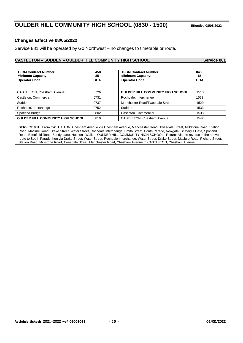## **OULDER HILL COMMUNITY HIGH SCHOOL (0830 - 1500) Effective 08/05/2022**

#### **Changes Effective 08/05/2022**

Service 881 will be operated by Go Northwest – no changes to timetable or route.

| <b>CASTLETON - SUDDEN - OULDER HILL COMMUNITY HIGH SCHOOL</b>                     | Service 881              |                                                                                   |                          |
|-----------------------------------------------------------------------------------|--------------------------|-----------------------------------------------------------------------------------|--------------------------|
| <b>TFGM Contract Number:</b><br><b>Minimum Capacity:</b><br><b>Operator Code:</b> | 0458<br>85<br><b>GOA</b> | <b>TFGM Contract Number:</b><br><b>Minimum Capacity:</b><br><b>Operator Code:</b> | 0458<br>85<br><b>GOA</b> |
| <b>CASTLETON, Chesham Avenue</b>                                                  | 0726                     | <b>OULDER HILL COMMUNITY HIGH SCHOOL</b>                                          | 1510                     |
| Castleton, Commercial                                                             | 0731                     | Rochdale, Interchange                                                             | 1523                     |
| Sudden                                                                            | 0737                     | Manchester Road/Tweedale Street                                                   | 1529                     |
| Rochdale, Interchange                                                             | 0752                     | Sudden                                                                            | 1533                     |
| <b>Spotland Bridge</b>                                                            | 0802                     | Castleton, Commercial                                                             | 1538                     |
| <b>OULDER HILL COMMUNITY HIGH SCHOOL</b>                                          | 0810                     | <b>CASTLETON, Chesham Avenue</b>                                                  | 1542                     |

**SERVICE 881:** From CASTLETON, Chesham Avenue via Chesham Avenue, Manchester Road, Tweedale Street, Milkstone Road, Station Road, Maclure Road, Drake Street, Water Street, Rochdale Interchange, Smith Street, South Parade, Newgate, St Mary's Gate, Spotland Road, Edenfield Road, Sandy Lane, Hudsons Walk to OULDER HILL COMMUNITY HIGH SCHOOL. Returns via the reverse of the above route to South Parade then via Drake Street, Water Street, Rochdale Interchange, Water Street, Drake Street, Maclure Road, Richard Street, Station Road, Milkstone Road, Tweedale Street, Manchester Road, Chesham Avenue to CASTLETON, Chesham Avenue.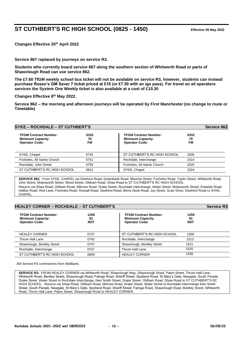## **ST CUTHBERT'S RC HIGH SCHOOL (0825 - 1450) Effective 08 May 2022**

**Changes Effective 25th April 2022**

**Service 867 replaced by journeys on service R3.**

**Students who currently board service 867 along the southern section of Whitworth Road or parts of Shawclough Road can use service 862.**

**The £7.60 TfGM weekly school bus ticket will not be available on service R3, however, students can instead purchase Rosso's GM Saver 7 ticket priced at £10 (or £7.50 with an igo pass). For travel on all operators services the System One Weekly ticket is also available at a cost of £10.30**

**Changes Effective 8th May 2022.**

**Service 862 – the morning and afternoon journeys will be operated by First Manchester (no change to route or Timetable)**

| <b>SYKE - ROCHDALE - ST CUTHBERT'S</b>                                            |                         |                                                                                   |                         |
|-----------------------------------------------------------------------------------|-------------------------|-----------------------------------------------------------------------------------|-------------------------|
| <b>TFGM Contract Number:</b><br><b>Minimum Capacity:</b><br><b>Operator Code:</b> | 0332<br>70<br><b>FM</b> | <b>TFGM Contract Number:</b><br><b>Minimum Capacity:</b><br><b>Operator Code:</b> | 0332<br>70<br><b>FM</b> |
| SYKE, Chapel                                                                      | 0745                    | ST CUTHBERT'S RC HIGH SCHOOL                                                      | 1500                    |
| Foxholes, All Saints Church                                                       | 0751                    | Rochdale, Interchange                                                             | 1514                    |
| Rochdale, John Street                                                             | 0759                    | Foxholes, All Saints Church                                                       | 1520                    |
| ST CUTHBERT'S RC HIGH SCHOOL                                                      | 0812                    | SYKE, Chapel                                                                      | 1524                    |

**SERVICE 862:** From SYKE, CHAPEL via Dewhirst Road, Greenbank Road, Blanche Street, Foxholes Road, Taylor Street, Whitworth Road, John Street, Molesworth Street, Wood Street, Oldham Road, Shaw Road to ST CUTHBERT'S RC HIGH SCHOOL. Returns via Shaw Road, Oldham Road, Milnrow Road, Drake Street, Rochdale Interchange, Water Street, Molesworth Street, Entwisle Road, Halifax Road, Red Lane, Foxholes Road, Rossall Road, Dewhirst Road, Binns Nook Road, Joy Street, Scarr Drive, Dewhirst Road to SYKE, **CHAPEL** 

| <b>HEALEY CORNER - ROCHDALE - ST CUTHBERT'S</b>                                   |                          |                                                                                   |                          | <b>Service R3</b> |  |
|-----------------------------------------------------------------------------------|--------------------------|-----------------------------------------------------------------------------------|--------------------------|-------------------|--|
| <b>TFGM Contract Number:</b><br><b>Minimum Capacity:</b><br><b>Operator Code:</b> | 1259<br>81<br><b>RDT</b> | <b>TFGM Contract Number:</b><br><b>Minimum Capacity:</b><br><b>Operator Code:</b> | 1259<br>81<br><b>RDT</b> |                   |  |
| <b>HEALEY CORNER</b>                                                              | 0737                     | ST CUTHBERT'S RC HIGH SCHOOL                                                      | 1500                     |                   |  |
| Thrum Hall Lane                                                                   | 0742                     | Rochdale, Interchange                                                             | 1513                     |                   |  |
| Shawclough, Bentley Street                                                        | 0747                     | Shawclough, Bentley Street                                                        | 1521                     |                   |  |
| Rochdale, Interchange                                                             | 0757                     | Thrum Hall Lane                                                                   | 1525                     |                   |  |
| ST CUTHBERT'S RC HIGH SCHOOL                                                      | 0809                     | <b>HEALEY CORNER</b>                                                              | 1530                     |                   |  |

AM Service R3 commences from Wallbank.

**SERVICE R3:** FROM HEALEY CORNER via Whitworth Road, Shawclough Way, Shawclough Road, Paton Street, Thrum Hall Lane, Whitworth Road, Bentley Street, Shawclough Road, Falinge Road, Sheriff Street, Spotland Road, St Mary's Gate, Newgate, South Parade, Drake Street, Water Street to Rochdale Interchange, then Smith Street, Drake Street, Oldham Road, Shaw Road to ST CUTHBERT'S RC HIGH SCHOOL. Returns via Shaw Road, Oldham Road, Milnrow Road, Drake Street, Water Street to Rochdale Interchange then Smith Street, South Parade, Newgate, St Mary's Gate, Spotland Road, Sheriff Street, Falinge Road, Shawclough Road, Bentley Street, Whitworth Road, Thrum Hall Lane, Paton Street, Shawclough Road to HEALEY CORNER.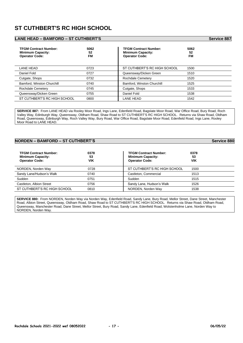## **ST CUTHBERT'S RC HIGH SCHOOL**

#### **LANE HEAD – BAMFORD – ST CUTHBERT'S Service 887**

| <b>TFGM Contract Number:</b><br><b>Minimum Capacity:</b><br><b>Operator Code:</b> | 5062<br>52<br>FM | <b>TFGM Contract Number:</b><br><b>Minimum Capacity:</b><br><b>Operator Code:</b> | 5062<br>52<br><b>FM</b> |
|-----------------------------------------------------------------------------------|------------------|-----------------------------------------------------------------------------------|-------------------------|
| LANE HEAD                                                                         | 0723             | ST CUTHBERT'S RC HIGH SCHOOL                                                      | 1500                    |
| Daniel Fold                                                                       | 0727             | Queensway/Dicken Green                                                            | 1510                    |
| Cutgate, Shops                                                                    | 0732             | <b>Rochdale Cemetery</b>                                                          | 1520                    |
| Bamford, Winston Churchill                                                        | 0740             | Bamford, Winston Churchill                                                        | 1525                    |
| Rochdale Cemetery                                                                 | 0745             | Cutgate, Shops                                                                    | 1533                    |
| Queensway/Dicken Green                                                            | 0755             | Daniel Fold                                                                       | 1538                    |
| ST CUTHBERT'S RC HIGH SCHOOL                                                      | 0800             | LANE HEAD                                                                         | 1542                    |

**SERVICE 887:** From LANE HEAD via Rooley Moor Road, Ings Lane, Edenfield Road, Bagslate Moor Road, War Office Road, Bury Road, Roch Valley Way, Edinburgh Way, Queensway, Oldham Road, Shaw Road to ST CUTHBERT'S RC HIGH SCHOOL. Returns via Shaw Road, Oldham Road, Queensway, Edinburgh Way, Roch Valley Way, Bury Road, War Office Road, Bagslate Moor Road, Edenfield Road, Ings Lane, Rooley Moor Road to LANE HEAD.

#### **NORDEN – BAMFORD – ST CUTHBERT'S** Service 880

| <b>TFGM Contract Number:</b><br><b>Minimum Capacity:</b><br><b>Operator Code:</b> | 0378<br>53<br>VIK | <b>TFGM Contract Number:</b><br><b>Minimum Capacity:</b><br><b>Operator Code:</b> | 0378<br>53<br>VIK |
|-----------------------------------------------------------------------------------|-------------------|-----------------------------------------------------------------------------------|-------------------|
| NORDEN, Norden Way                                                                | 0728              | ST CUTHBERT'S RC HIGH SCHOOL                                                      | 1500              |
| Sandy Lane/Hudson's Walk                                                          | 0740              | Castleton, Commercial                                                             | 1513              |
| Sudden                                                                            | 0751              | Sudden                                                                            | 1515              |
| Castleton, Albion Street                                                          | 0756              | Sandy Lane, Hudson's Walk                                                         | 1526              |
| ST CUTHBERT'S RC HIGH SCHOOL                                                      | 0810              | NORDEN, Norden Way                                                                | 1538              |

**SERVICE 880:** From NORDEN, Norden Way via Norden Way, Edenfield Road, Sandy Lane, Bury Road, Mellor Street, Dane Street, Manchester Road, Albion Street, Queensway, Oldham Road, Shaw Road to ST CUTHBERT'S RC HIGH SCHOOL. Returns via Shaw Road, Oldham Road, Queensway, Manchester Road, Dane Street, Mellor Street, Bury Road, Sandy Lane, Edenfield Road, Wolstenholme Lane, Norden Way to NORDEN, Norden Way.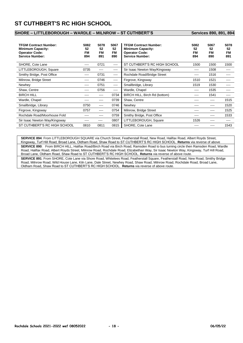## **ST CUTHBERT'S RC HIGH SCHOOL**

#### **SHORE – LITTLEBOROUGH – WARDLE – MILNROW – ST CUTHBERT'S Services 890, 891, 894**

| <b>TFGM Contract Number:</b><br><b>Minimum Capacity:</b><br><b>Operator Code:</b><br><b>Service Number:</b> | 5082<br>52<br>FM<br>894 | 5078<br>52<br><b>FM</b><br>891 | 5067<br>52<br><b>FM</b><br>890 | <b>TFGM Contract Number:</b><br><b>Minimum Capacity:</b><br><b>Operator Code:</b><br><b>Service Number:</b> | 5082<br>52<br>FM<br>894 | 5067<br>52<br><b>FM</b><br>890 | 5078<br>52<br>FM<br>891 |
|-------------------------------------------------------------------------------------------------------------|-------------------------|--------------------------------|--------------------------------|-------------------------------------------------------------------------------------------------------------|-------------------------|--------------------------------|-------------------------|
| SHORE, Cote Lane                                                                                            | $\cdots$                | 0721                           | ----                           | ST CUTHBERT'S RC HIGH SCHOOL                                                                                | 1500                    | 1500                           | 1500                    |
| LITTLEBOROUGH, Square                                                                                       | 0735                    | $- - - -$                      | ----                           | Sir Isaac Newton Way/Kingsway                                                                               | ----                    | 1508                           |                         |
| Smithy Bridge, Post Office                                                                                  | ----                    | 0731                           | $\frac{1}{2}$                  | Rochdale Road/Bridge Street                                                                                 |                         | 1516                           | ----                    |
| Milnrow, Bridge Street                                                                                      | ----                    | 0746                           | $---$                          | Firgrove, Kingsway                                                                                          | 1510                    | 1521                           | ----                    |
| Newhey                                                                                                      | ----                    | 0751                           | $---$                          | Smallbridge, Library                                                                                        | 1519                    | 1530                           | ----                    |
| Shaw, Centre                                                                                                | ----                    | 0756                           | $\cdots$                       | Wardle, Chapel                                                                                              | ----                    | 1535                           | ----                    |
| <b>BIRCH HILL</b>                                                                                           | ----                    | ----                           | 0734                           | BIRCH HILL, Birch Rd (bottom)                                                                               | ----                    | 1541                           | ----                    |
| Wardle, Chapel                                                                                              |                         | ----                           | 0739                           | Shaw, Centre                                                                                                |                         | ----                           | 1515                    |
| Smallbridge, Library                                                                                        | 0750                    | ----                           | 0746                           | Newhey                                                                                                      |                         | ----                           | 1520                    |
| Firgrove, Kingsway                                                                                          | 0757                    | ----                           | 0754                           | Milnrow, Bridge Street                                                                                      | ----                    | ----                           | 1525                    |
| Rochdale Road/Moorhouse Fold                                                                                | ----                    | ----                           | 0759                           | Smithy Bridge, Post Office                                                                                  |                         |                                | 1533                    |
| Sir Isaac Newton Way/Kingsway                                                                               | ----                    | ----                           | 0807                           | LITTLEBOROUGH, Square                                                                                       | 1526                    |                                | ----                    |
| ST CUTHBERT'S RC HIGH SCHOOL                                                                                | 0810                    | 0811                           | 0815                           | SHORE, Cote Lane                                                                                            |                         |                                | 1543                    |

**SERVICE 894**: From LITTLEBOROUGH SQUARE via Church Street, Featherstall Road, New Road, Halifax Road, Albert Royds Street, Kingsway, Turf Hill Road, Broad Lane, Oldham Road, Shaw Road to ST CUTHBERT'S RC HIGH SCHOOL. **Returns** via reverse of above **SERVICE 890**: From BIRCH HILL, Halifax Road/Birch Road via Birch Road, Ramsden Road to bus turning circle then Ramsden Road, Wardle Road, Halifax Road, Albert Royds Street, Milnrow Road, Rochdale Road, Elizabethan Way, Sir Isaac Newton Way, Kingsway, Turf Hill Road, Broad Lane, Oldham Road, Shaw Road to ST CUTHBERT'S RC HIGH SCHOOL. **Returns** via reverse of above route.

**SERVICE 891**: From SHORE, Cote Lane via Shore Road, Whitelees Road, Featherstall Square, Featherstall Road, New Road, Smithy Bridge Road, Milnrow Road, Wild House Lane, Kiln Lane, Dale Street, Newhey Road, Shaw Road, Milnrow Road, Rochdale Road, Broad Lane, Oldham Road, Shaw Road to ST CUTHBERT'S RC HIGH SCHOOL. **Returns** via reverse of above route.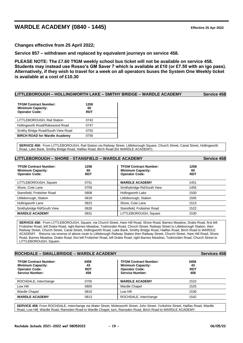## **WARDLE ACADEMY (0840 - 1445) Effective 25 Apr 2022**

**Changes effective from 25 April 2022;**

**Service 857 – withdrawn and replaced by equivalent journeys on service 458.**

**PLEASE NOTE: The £7.60 TfGM weekly school bus ticket will not be available on service 458. Students may instead use Rosso's GM Saver 7 which is available at £10 (or £7.50 with an igo pass). Alternatively, if they wish to travel for a week on all operators buses the System One Weekly ticket is available at a cost of £10.30**

#### **LITTLEBOROUGH – HOLLINGWORTH LAKE – SMITHY BRIDGE – WARDLE ACADEMY Service 458**

| <b>TFGM Contract Number:</b><br><b>Minimum Capacity:</b><br><b>Operator Code:</b> | 1258<br>60<br><b>RDT</b> |  |
|-----------------------------------------------------------------------------------|--------------------------|--|
| LITTLEBOROUGH, Rail Station                                                       | 0742                     |  |
| Hollingworth Road/Rakewood Road                                                   | 0747                     |  |
| Smithy Bridge Road/South View Road                                                | 0752                     |  |
| <b>BIRCH ROAD for Wardle Academy</b>                                              | 0756                     |  |

**SERVICE 458:** From LITTLEBOROUGH, Rail Station via Railway Street, Littleborough Square, Church Street, Canal Street, Hollingworth Road, Lake Bank, Smithy Bridge Road, Halifax Road, Birch Road (for WARDLE ACADEMY).

| LITTLEBOROUGH - SHORE - STANSFIELD - WARDLE ACADEMY                               |                          |                                                                                   |                          |
|-----------------------------------------------------------------------------------|--------------------------|-----------------------------------------------------------------------------------|--------------------------|
| <b>TFGM Contract Number:</b><br><b>Minimum Capacity:</b><br><b>Operator Code:</b> | 1258<br>60<br><b>RDT</b> | <b>TFGM Contract Number:</b><br><b>Minimum Capacity:</b><br><b>Operator Code:</b> | 1258<br>60<br><b>RDT</b> |
| LITTLEBOROUGH, Square                                                             | 0751                     | <b>WARDLE ACADEMY</b>                                                             | 1451                     |
| Shore, Cote Lane                                                                  | 0759                     | Smithybridge Rd/South View                                                        | 1455                     |
| Stansfield, Frobisher Road                                                        | 0808                     | Hollingworth Lake                                                                 | 1500                     |
| Littleborough, Station                                                            | 0818                     | Littleborough, Station                                                            | 1505                     |
| Hollingworth Lane                                                                 | 0823                     | Shore, Cote Lane                                                                  | 1513                     |
| Smithybridge Rd/South View                                                        | 0828                     | Stansfield, Frobisher Road                                                        | 1522                     |
| <b>WARDLE ACADEMY</b>                                                             | 0831                     | LITTLEBOROUGH, Square                                                             | 1530                     |

**SERVICE 458:** From LITTLEBOROUGH, Square, via Church Street, Hare Hill Road, Shore Road, Barnes Meadow, Drake Road, first left Frobisher Road, left Drake Road, right Barnes Meadow, Todmorden Road, Church Street, Railway Street to Littleborough Station, then Railway Street, Church Street, Canal Street, Hollingworth Road, Lake Bank, Smithy Bridge Road, Halifax Road, Birch Road to WARDLE ACADEMY. Returns via reverse of above route to Littlebrough Railway Station then Railway Street, Church Street, Hare Hill Road, Shore Road, Barnes Meadow, Drake Road, first left Frobisher Road, left Drake Road, right Barnes Meadow, Todmorden Road, Church Street to LITTLEBOROUGH, Square.

| ROCHDALE - SMALLBRIDGE - WARDLE ACADEMY                                                                     |                                 |                                                                                                             |                                 |
|-------------------------------------------------------------------------------------------------------------|---------------------------------|-------------------------------------------------------------------------------------------------------------|---------------------------------|
| <b>TFGM Contract Number:</b><br><b>Minimum Capacity:</b><br><b>Operator Code:</b><br><b>Service Number:</b> | 3458<br>43<br><b>RDT</b><br>458 | <b>TFGM Contract Number:</b><br><b>Minimum Capacity:</b><br><b>Operator Code:</b><br><b>Service Number:</b> | 3458<br>43<br><b>RDT</b><br>458 |
| ROCHDALE, Interchange                                                                                       | 0755                            | <b>WARDLE ACADEMY</b>                                                                                       | 1522                            |
| Low Hill                                                                                                    | 0805                            | <b>Wardle Chapel</b>                                                                                        | 1525                            |
| <b>Wardle Chapel</b>                                                                                        | 0810                            | Low Hill                                                                                                    | 1530                            |
| <b>WARDLE ACADEMY</b>                                                                                       | 0813                            | ROCHDALE, Interchange                                                                                       | 1542                            |

**SERVICE 458**: From ROCHDALE, Interchange via Water Street, Molesworth Street, John Street, Yorkshire Street, Halifax Road, Wardle Road, Low Hill, Wardle Road, Ramsden Road to Wardle Chapel, turn, Ramsden Road, Birch Road to WARDLE ACADEMY.